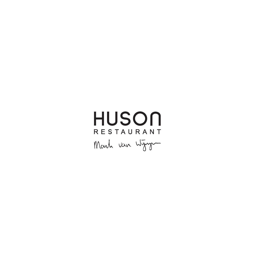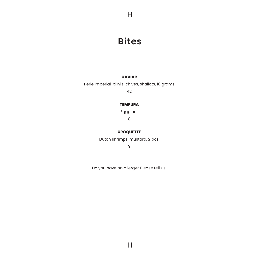# **Bites**

H

## **CAVIAR**

Perle Imperial, blini's, chives, shallots, 10 grams

42

## **TEMPURA**

Eggplant

8

## **CROQUETTE**

Dutch shrimps, mustard, 2 pcs.

9

Do you have an allergy? Please tell us!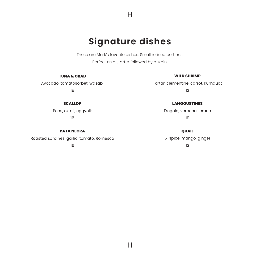# **Signature dishes**

H

These are Mark's favorite dishes. Small refined portions. Perfect as a starter followed by a Main.

#### **TUNA & CRAB**

## Avocado, tomatosorbet, wasabi 15

### **WILD SHRIMP**

Tartar, clementine, carrot, kumquat 13

### **LANGOUSTINES**

Fregola, verbena, lemon 19

**QUAIL** 5-spice, mango, ginger 13

#### **SCALLOP**

Peas, oxtail, eggyolk 16

#### **PATA NEGRA**

Roasted sardines, garlic, tomato, Romesco

16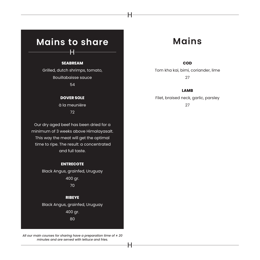# **Mains to share**

H

### **SEABREAM**

Grilled, dutch shrimps, tomato, Bouillabaisse sauce 54

### **DOVER SOLE**

à la meunière 72

Our dry aged beef has been dried for a minimum of 3 weeks above Himalayasalt. This way the meat will get the optimal time to ripe. The result: a concentrated and full taste.

#### **ENTRECOTE**

Black Angus, grainfed, Uruguay 400 gr. 70

## **RIBEYE**

Black Angus, grainfed, Uruguay

400 gr.

80

*All our main courses for sharing have a preparation time of ± 20 minutes and are served with lettuce and fries.*

# **Mains**

### **COD**

Tom kha kai, bimi, coriander, lime 27

#### **LAMB**

Filet, braised neck, garlic, parsley 27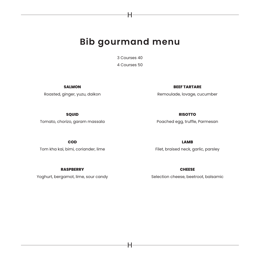# **Bib gourmand menu**

H

3 Courses 40 4 Courses 50

**SALMON**

Roasted, ginger, yuzu, daikon

**BEEF TARTARE**

Remoulade, lovage, cucumber

**SQUID** Tomato, chorizo, garam massala **RISOTTO**

Poached egg, truffle, Parmesan

**LAMB**

**COD** Tom kha kai, bimi, coriander, lime

Filet, braised neck, garlic, parsley

**RASPBERRY**

Yoghurt, bergamot, lime, sour candy

**CHEESE**  Selection cheese, beetroot, balsamic